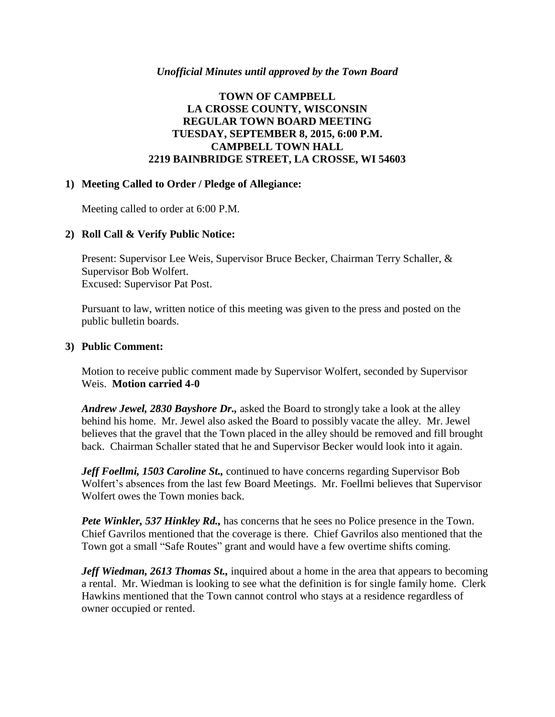#### *Unofficial Minutes until approved by the Town Board*

## **TOWN OF CAMPBELL LA CROSSE COUNTY, WISCONSIN REGULAR TOWN BOARD MEETING TUESDAY, SEPTEMBER 8, 2015, 6:00 P.M. CAMPBELL TOWN HALL 2219 BAINBRIDGE STREET, LA CROSSE, WI 54603**

#### **1) Meeting Called to Order / Pledge of Allegiance:**

Meeting called to order at 6:00 P.M.

### **2) Roll Call & Verify Public Notice:**

Present: Supervisor Lee Weis, Supervisor Bruce Becker, Chairman Terry Schaller, & Supervisor Bob Wolfert. Excused: Supervisor Pat Post.

Pursuant to law, written notice of this meeting was given to the press and posted on the public bulletin boards.

#### **3) Public Comment:**

Motion to receive public comment made by Supervisor Wolfert, seconded by Supervisor Weis. **Motion carried 4-0**

*Andrew Jewel, 2830 Bayshore Dr.,* asked the Board to strongly take a look at the alley behind his home. Mr. Jewel also asked the Board to possibly vacate the alley. Mr. Jewel believes that the gravel that the Town placed in the alley should be removed and fill brought back. Chairman Schaller stated that he and Supervisor Becker would look into it again.

*Jeff Foellmi, 1503 Caroline St.,* continued to have concerns regarding Supervisor Bob Wolfert's absences from the last few Board Meetings. Mr. Foellmi believes that Supervisor Wolfert owes the Town monies back.

*Pete Winkler, 537 Hinkley Rd.,* has concerns that he sees no Police presence in the Town. Chief Gavrilos mentioned that the coverage is there. Chief Gavrilos also mentioned that the Town got a small "Safe Routes" grant and would have a few overtime shifts coming.

*Jeff Wiedman, 2613 Thomas St.,* inquired about a home in the area that appears to becoming a rental. Mr. Wiedman is looking to see what the definition is for single family home. Clerk Hawkins mentioned that the Town cannot control who stays at a residence regardless of owner occupied or rented.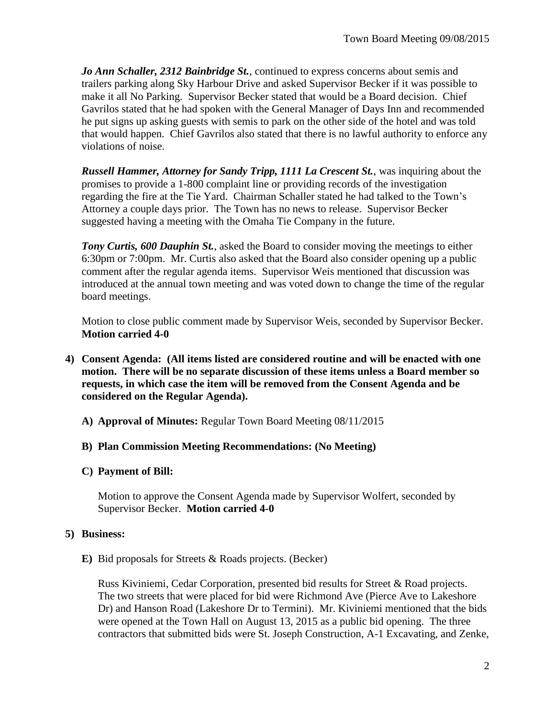*Jo Ann Schaller, 2312 Bainbridge St.*, continued to express concerns about semis and trailers parking along Sky Harbour Drive and asked Supervisor Becker if it was possible to make it all No Parking. Supervisor Becker stated that would be a Board decision. Chief Gavrilos stated that he had spoken with the General Manager of Days Inn and recommended he put signs up asking guests with semis to park on the other side of the hotel and was told that would happen. Chief Gavrilos also stated that there is no lawful authority to enforce any violations of noise.

*Russell Hammer, Attorney for Sandy Tripp, 1111 La Crescent St.*, was inquiring about the promises to provide a 1-800 complaint line or providing records of the investigation regarding the fire at the Tie Yard. Chairman Schaller stated he had talked to the Town's Attorney a couple days prior. The Town has no news to release. Supervisor Becker suggested having a meeting with the Omaha Tie Company in the future.

*Tony Curtis, 600 Dauphin St.*, asked the Board to consider moving the meetings to either 6:30pm or 7:00pm. Mr. Curtis also asked that the Board also consider opening up a public comment after the regular agenda items. Supervisor Weis mentioned that discussion was introduced at the annual town meeting and was voted down to change the time of the regular board meetings.

Motion to close public comment made by Supervisor Weis, seconded by Supervisor Becker. **Motion carried 4-0**

- **4) Consent Agenda: (All items listed are considered routine and will be enacted with one motion. There will be no separate discussion of these items unless a Board member so requests, in which case the item will be removed from the Consent Agenda and be considered on the Regular Agenda).**
	- **A) Approval of Minutes:** Regular Town Board Meeting 08/11/2015
	- **B) Plan Commission Meeting Recommendations: (No Meeting)**
	- **C) Payment of Bill:**

Motion to approve the Consent Agenda made by Supervisor Wolfert, seconded by Supervisor Becker. **Motion carried 4-0**

# **5) Business:**

**E)** Bid proposals for Streets & Roads projects. (Becker)

Russ Kiviniemi, Cedar Corporation, presented bid results for Street & Road projects. The two streets that were placed for bid were Richmond Ave (Pierce Ave to Lakeshore Dr) and Hanson Road (Lakeshore Dr to Termini). Mr. Kiviniemi mentioned that the bids were opened at the Town Hall on August 13, 2015 as a public bid opening. The three contractors that submitted bids were St. Joseph Construction, A-1 Excavating, and Zenke,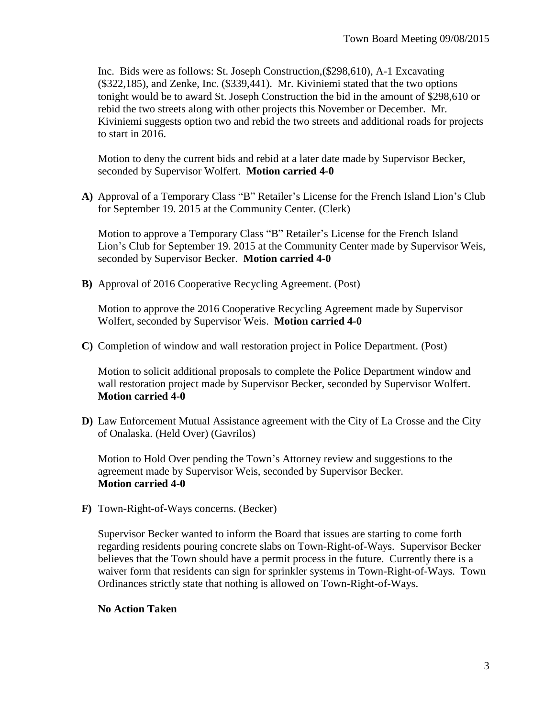Inc. Bids were as follows: St. Joseph Construction,(\$298,610), A-1 Excavating (\$322,185), and Zenke, Inc. (\$339,441). Mr. Kiviniemi stated that the two options tonight would be to award St. Joseph Construction the bid in the amount of \$298,610 or rebid the two streets along with other projects this November or December. Mr. Kiviniemi suggests option two and rebid the two streets and additional roads for projects to start in 2016.

Motion to deny the current bids and rebid at a later date made by Supervisor Becker, seconded by Supervisor Wolfert. **Motion carried 4-0**

**A)** Approval of a Temporary Class "B" Retailer's License for the French Island Lion's Club for September 19. 2015 at the Community Center. (Clerk)

Motion to approve a Temporary Class "B" Retailer's License for the French Island Lion's Club for September 19. 2015 at the Community Center made by Supervisor Weis, seconded by Supervisor Becker. **Motion carried 4-0**

**B)** Approval of 2016 Cooperative Recycling Agreement. (Post)

Motion to approve the 2016 Cooperative Recycling Agreement made by Supervisor Wolfert, seconded by Supervisor Weis. **Motion carried 4-0**

**C)** Completion of window and wall restoration project in Police Department. (Post)

Motion to solicit additional proposals to complete the Police Department window and wall restoration project made by Supervisor Becker, seconded by Supervisor Wolfert. **Motion carried 4-0**

**D)** Law Enforcement Mutual Assistance agreement with the City of La Crosse and the City of Onalaska. (Held Over) (Gavrilos)

Motion to Hold Over pending the Town's Attorney review and suggestions to the agreement made by Supervisor Weis, seconded by Supervisor Becker. **Motion carried 4-0**

**F)** Town-Right-of-Ways concerns. (Becker)

Supervisor Becker wanted to inform the Board that issues are starting to come forth regarding residents pouring concrete slabs on Town-Right-of-Ways. Supervisor Becker believes that the Town should have a permit process in the future. Currently there is a waiver form that residents can sign for sprinkler systems in Town-Right-of-Ways. Town Ordinances strictly state that nothing is allowed on Town-Right-of-Ways.

## **No Action Taken**